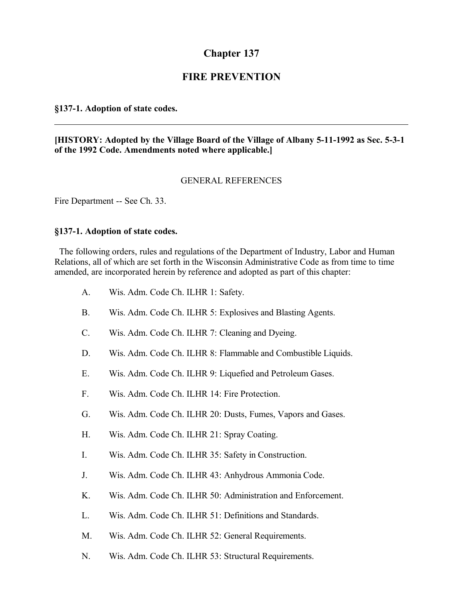# **Chapter 137**

## **FIRE PREVENTION**

## **§137-1. Adoption of state codes.**

## **[HISTORY: Adopted by the Village Board of the Village of Albany 5-11-1992 as Sec. 5-3-1 of the 1992 Code. Amendments noted where applicable.]**

### GENERAL REFERENCES

Fire Department -- See Ch. 33.

#### **§137-1. Adoption of state codes.**

 The following orders, rules and regulations of the Department of Industry, Labor and Human Relations, all of which are set forth in the Wisconsin Administrative Code as from time to time amended, are incorporated herein by reference and adopted as part of this chapter:

- A. Wis. Adm. Code Ch. ILHR 1: Safety.
- B. Wis. Adm. Code Ch. ILHR 5: Explosives and Blasting Agents.
- C. Wis. Adm. Code Ch. ILHR 7: Cleaning and Dyeing.
- D. Wis. Adm. Code Ch. ILHR 8: Flammable and Combustible Liquids.
- E. Wis. Adm. Code Ch. ILHR 9: Liquefied and Petroleum Gases.
- F. Wis. Adm. Code Ch. ILHR 14: Fire Protection.
- G. Wis. Adm. Code Ch. ILHR 20: Dusts, Fumes, Vapors and Gases.
- H. Wis. Adm. Code Ch. ILHR 21: Spray Coating.
- I. Wis. Adm. Code Ch. ILHR 35: Safety in Construction.
- J. Wis. Adm. Code Ch. ILHR 43: Anhydrous Ammonia Code.
- K. Wis. Adm. Code Ch. ILHR 50: Administration and Enforcement.
- L. Wis. Adm. Code Ch. ILHR 51: Definitions and Standards.
- M. Wis. Adm. Code Ch. ILHR 52: General Requirements.
- N. Wis. Adm. Code Ch. ILHR 53: Structural Requirements.